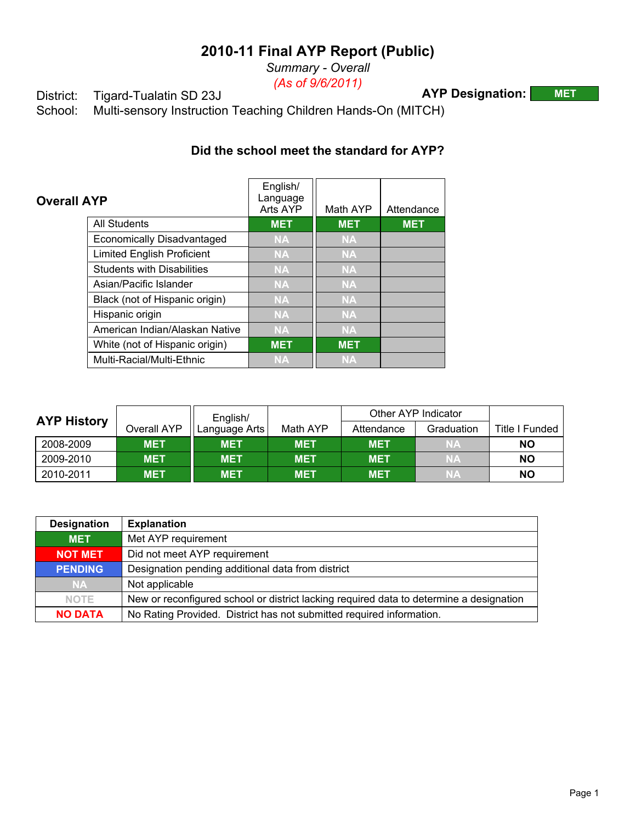*Summary - Overall (As of 9/6/2011)*

**AYP Designation: MET**

District: Tigard-Tualatin SD 23J<br>School: Multi-sensory Instruction Multi-sensory Instruction Teaching Children Hands-On (MITCH)

## **Did the school meet the standard for AYP?**

| <b>Overall AYP</b> |                                   | English/<br>Language<br>Arts AYP | Math AYP   | Attendance |
|--------------------|-----------------------------------|----------------------------------|------------|------------|
|                    | <b>All Students</b>               | <b>MET</b>                       | <b>MET</b> | <b>MET</b> |
|                    | <b>Economically Disadvantaged</b> | <b>NA</b>                        | <b>NA</b>  |            |
|                    | <b>Limited English Proficient</b> | <b>NA</b>                        | <b>NA</b>  |            |
|                    | <b>Students with Disabilities</b> | <b>NA</b>                        | <b>NA</b>  |            |
|                    | Asian/Pacific Islander            | <b>NA</b>                        | <b>NA</b>  |            |
|                    | Black (not of Hispanic origin)    | <b>NA</b>                        | <b>NA</b>  |            |
|                    | Hispanic origin                   | <b>NA</b>                        | <b>NA</b>  |            |
|                    | American Indian/Alaskan Native    | <b>NA</b>                        | <b>NA</b>  |            |
|                    | White (not of Hispanic origin)    | <b>MET</b>                       | <b>MET</b> |            |
|                    | Multi-Racial/Multi-Ethnic         | <b>NA</b>                        | <b>NA</b>  |            |

|                    |             | English/      |            |            | Other AYP Indicator |                |
|--------------------|-------------|---------------|------------|------------|---------------------|----------------|
| <b>AYP History</b> | Overall AYP | Language Arts | Math AYP   | Attendance | Graduation          | Title I Funded |
| 2008-2009          | <b>MET</b>  | <b>MET</b>    | <b>MET</b> | <b>MET</b> | <b>NA</b>           | NΟ             |
| 2009-2010          | <b>MET</b>  | <b>MET</b>    | <b>MET</b> | <b>MET</b> | <b>NA</b>           | ΝO             |
| 2010-2011          | <b>MET</b>  | <b>MET</b>    | <b>MET</b> | <b>MET</b> | <b>NA</b>           | NΟ             |

| <b>Designation</b> | <b>Explanation</b>                                                                      |
|--------------------|-----------------------------------------------------------------------------------------|
| <b>MET</b>         | Met AYP requirement                                                                     |
| <b>NOT MET</b>     | Did not meet AYP requirement                                                            |
| <b>PENDING</b>     | Designation pending additional data from district                                       |
| <b>NA</b>          | Not applicable                                                                          |
| <b>NOTE</b>        | New or reconfigured school or district lacking required data to determine a designation |
| <b>NO DATA</b>     | No Rating Provided. District has not submitted required information.                    |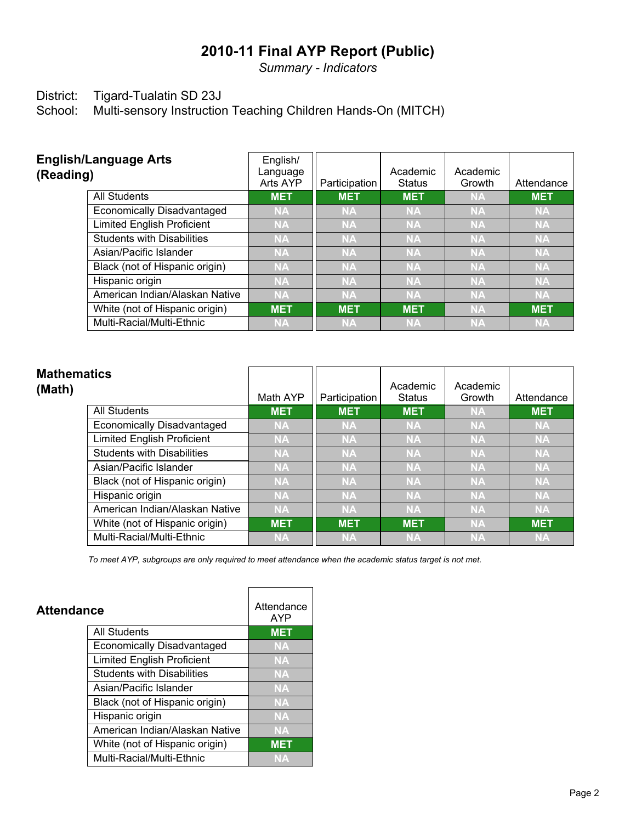*Summary - Indicators*

# District: Tigard-Tualatin SD 23J<br>School: Multi-sensory Instruction

Multi-sensory Instruction Teaching Children Hands-On (MITCH)

| <b>English/Language Arts</b><br>(Reading) | English/<br>Language<br>Arts AYP | Participation | Academic<br><b>Status</b> | Academic<br>Growth | Attendance |
|-------------------------------------------|----------------------------------|---------------|---------------------------|--------------------|------------|
| <b>All Students</b>                       | <b>MET</b>                       | <b>MET</b>    | <b>MET</b>                | <b>NA</b>          | <b>MET</b> |
| <b>Economically Disadvantaged</b>         | <b>NA</b>                        | <b>NA</b>     | <b>NA</b>                 | <b>NA</b>          | <b>NA</b>  |
| <b>Limited English Proficient</b>         | <b>NA</b>                        | <b>NA</b>     | <b>NA</b>                 | <b>NA</b>          | <b>NA</b>  |
| <b>Students with Disabilities</b>         | <b>NA</b>                        | <b>NA</b>     | <b>NA</b>                 | <b>NA</b>          | <b>NA</b>  |
| Asian/Pacific Islander                    | <b>NA</b>                        | <b>NA</b>     | <b>NA</b>                 | <b>NA</b>          | <b>NA</b>  |
| Black (not of Hispanic origin)            | <b>NA</b>                        | <b>NA</b>     | <b>NA</b>                 | <b>NA</b>          | <b>NA</b>  |
| Hispanic origin                           | <b>NA</b>                        | <b>NA</b>     | <b>NA</b>                 | <b>NA</b>          | <b>NA</b>  |
| American Indian/Alaskan Native            | <b>NA</b>                        | <b>NA</b>     | <b>NA</b>                 | <b>NA</b>          | <b>NA</b>  |
| White (not of Hispanic origin)            | <b>MET</b>                       | <b>MET</b>    | <b>MET</b>                | <b>NA</b>          | <b>MET</b> |
| Multi-Racial/Multi-Ethnic                 | <b>NA</b>                        | <b>NA</b>     | <b>NA</b>                 | <b>NA</b>          | <b>NA</b>  |

| <b>Mathematics</b><br>(Math)      | Math AYP   | Participation | Academic<br><b>Status</b> | Academic<br>Growth | Attendance |
|-----------------------------------|------------|---------------|---------------------------|--------------------|------------|
| <b>All Students</b>               | <b>MET</b> | <b>MET</b>    | <b>MET</b>                | <b>NA</b>          | <b>MET</b> |
| <b>Economically Disadvantaged</b> | <b>NA</b>  | <b>NA</b>     | <b>NA</b>                 | <b>NA</b>          | <b>NA</b>  |
| <b>Limited English Proficient</b> | <b>NA</b>  | <b>NA</b>     | <b>NA</b>                 | <b>NA</b>          | <b>NA</b>  |
| <b>Students with Disabilities</b> | <b>NA</b>  | <b>NA</b>     | <b>NA</b>                 | <b>NA</b>          | <b>NA</b>  |
| Asian/Pacific Islander            | <b>NA</b>  | <b>NA</b>     | <b>NA</b>                 | <b>NA</b>          | <b>NA</b>  |
| Black (not of Hispanic origin)    | <b>NA</b>  | <b>NA</b>     | <b>NA</b>                 | <b>NA</b>          | <b>NA</b>  |
| Hispanic origin                   | <b>NA</b>  | <b>NA</b>     | <b>NA</b>                 | <b>NA</b>          | <b>NA</b>  |
| American Indian/Alaskan Native    | <b>NA</b>  | <b>NA</b>     | <b>NA</b>                 | <b>NA</b>          | <b>NA</b>  |
| White (not of Hispanic origin)    | <b>MET</b> | <b>MET</b>    | <b>MET</b>                | <b>NA</b>          | <b>MET</b> |
| Multi-Racial/Multi-Ethnic         | <b>NA</b>  | <b>NA</b>     | <b>NA</b>                 | <b>NA</b>          | <b>NA</b>  |

 $\overline{ }$ 

*To meet AYP, subgroups are only required to meet attendance when the academic status target is not met.*

F

| Attendance                        | Attendance<br><b>AYP</b> |
|-----------------------------------|--------------------------|
| <b>All Students</b>               | <b>MET</b>               |
| <b>Economically Disadvantaged</b> | <b>NA</b>                |
| <b>Limited English Proficient</b> | <b>NA</b>                |
| <b>Students with Disabilities</b> | <b>NA</b>                |
| Asian/Pacific Islander            | NA                       |
| Black (not of Hispanic origin)    | NA                       |
| Hispanic origin                   | <b>NA</b>                |
| American Indian/Alaskan Native    | <b>NA</b>                |
| White (not of Hispanic origin)    | <b>MET</b>               |
| Multi-Racial/Multi-Ethnic         | <b>NA</b>                |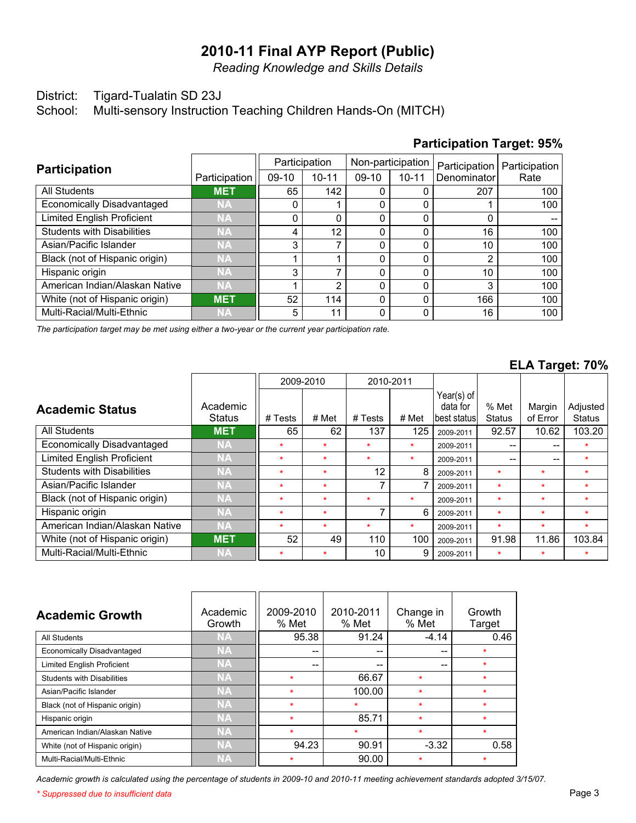*Reading Knowledge and Skills Details*

#### District: Tigard-Tualatin SD 23J

School: Multi-sensory Instruction Teaching Children Hands-On (MITCH)

| <b>Participation</b>              |               |         | Participation |         | Non-participation | Participation | Participation |
|-----------------------------------|---------------|---------|---------------|---------|-------------------|---------------|---------------|
|                                   | Participation | $09-10$ | $10 - 11$     | $09-10$ | $10 - 11$         | Denominator   | Rate          |
| <b>All Students</b>               | <b>MET</b>    | 65      | 142           |         |                   | 207           | 100           |
| Economically Disadvantaged        | <b>NA</b>     | 0       |               |         |                   |               | 100           |
| <b>Limited English Proficient</b> | <b>NA</b>     | 0       |               |         |                   | 0             |               |
| <b>Students with Disabilities</b> | <b>NA</b>     | 4       | 12            |         |                   | 16            | 100           |
| Asian/Pacific Islander            | <b>NA</b>     | 3       |               |         |                   | 10            | 100           |
| Black (not of Hispanic origin)    | <b>NA</b>     |         |               |         |                   | 2             | 100           |
| Hispanic origin                   | <b>NA</b>     | 3       |               |         |                   | 10            | 100           |
| American Indian/Alaskan Native    | <b>NA</b>     |         | າ             |         | 0                 | 3             | 100           |
| White (not of Hispanic origin)    | <b>MET</b>    | 52      | 114           |         | 0                 | 166           | 100           |
| Multi-Racial/Multi-Ethnic         | <b>NA</b>     | 5       | 11            |         |                   | 16            | 100           |

### **Participation Target: 95%**

*The participation target may be met using either a two-year or the current year participation rate.*

#### **ELA Target: 70%**

|                                   |                           |         | 2009-2010 | 2010-2011 |         |                                         |                        |                    |                           |
|-----------------------------------|---------------------------|---------|-----------|-----------|---------|-----------------------------------------|------------------------|--------------------|---------------------------|
| <b>Academic Status</b>            | Academic<br><b>Status</b> | # Tests | # Met     | # Tests   | # Met   | Year(s) of<br>data for<br>lbest statusl | % Met<br><b>Status</b> | Margin<br>of Error | Adjusted<br><b>Status</b> |
| All Students                      | <b>MET</b>                | 65      | 62        | 137       | 125     | 2009-2011                               | 92.57                  | 10.62              | 103.20                    |
| Economically Disadvantaged        | <b>NA</b>                 | $\star$ | $\star$   | $\star$   | $\star$ | 2009-2011                               | $-$                    | --                 | ÷                         |
| <b>Limited English Proficient</b> | <b>NA</b>                 | $\star$ | $\star$   | $\star$   | $\star$ | 2009-2011                               | $-$                    | --                 | $\star$                   |
| <b>Students with Disabilities</b> | <b>NA</b>                 | $\star$ | $\star$   | 12        | 8       | 2009-2011                               | $\star$                | $\star$            | $\star$                   |
| Asian/Pacific Islander            | <b>NA</b>                 | $\star$ | $\star$   |           |         | 2009-2011                               | $\star$                | $\star$            | ÷                         |
| Black (not of Hispanic origin)    | <b>NA</b>                 | $\star$ | $\star$   | $\star$   | $\star$ | 2009-2011                               | $\star$                | $\star$            | $\star$                   |
| Hispanic origin                   | <b>NA</b>                 | $\star$ | $\star$   |           | 6       | 2009-2011                               | $\star$                | $\star$            | $\star$                   |
| American Indian/Alaskan Native    | <b>NA</b>                 | $\star$ | $\star$   | $\star$   | $\star$ | 2009-2011                               | $\star$                | $\star$            | $\star$                   |
| White (not of Hispanic origin)    | <b>MET</b>                | 52      | 49        | 110       | 100     | 2009-2011                               | 91.98                  | 11.86              | 103.84                    |
| Multi-Racial/Multi-Ethnic         | <b>NA</b>                 | $\star$ |           | 10        | 9       | 2009-2011                               | $\star$                | $\star$            | $\star$                   |

| <b>Academic Growth</b>            | Academic<br>Growth | 2009-2010<br>% Met | 2010-2011<br>% Met | Change in<br>% Met | Growth<br>Target |
|-----------------------------------|--------------------|--------------------|--------------------|--------------------|------------------|
| All Students                      | NA                 | 95.38              | 91.24              | $-4.14$            | 0.46             |
| Economically Disadvantaged        | <b>NA</b>          | --                 | --                 | --                 | $\star$          |
| <b>Limited English Proficient</b> | NA                 | --                 | --                 | --                 | $\star$          |
| <b>Students with Disabilities</b> | <b>NA</b>          | $\star$            | 66.67              | $\star$            | $\star$          |
| Asian/Pacific Islander            | <b>NA</b>          | $\star$            | 100.00             | $\star$            | $\star$          |
| Black (not of Hispanic origin)    | <b>NA</b>          | ÷                  | $\star$            | $\star$            | $\bullet$        |
| Hispanic origin                   | <b>NA</b>          | $\bullet$          | 85.71              | $\star$            | $\bullet$        |
| American Indian/Alaskan Native    | <b>NA</b>          | $\star$            | $\star$            | $\star$            | $\star$          |
| White (not of Hispanic origin)    | <b>NA</b>          | 94.23              | 90.91              | $-3.32$            | 0.58             |
| Multi-Racial/Multi-Ethnic         | <b>NA</b>          | $\star$            | 90.00              | $\star$            | $\star$          |

*Academic growth is calculated using the percentage of students in 2009-10 and 2010-11 meeting achievement standards adopted 3/15/07.*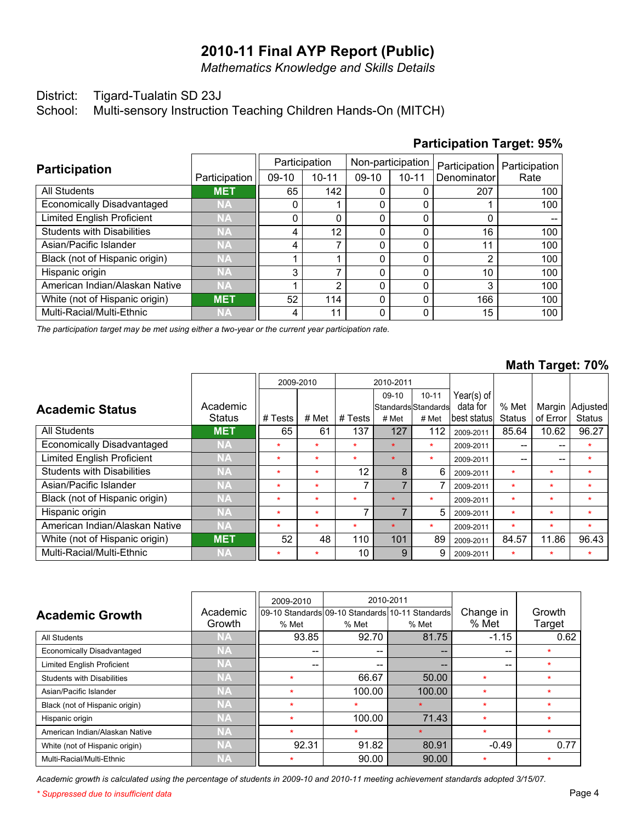*Mathematics Knowledge and Skills Details*

#### District: Tigard-Tualatin SD 23J

School: Multi-sensory Instruction Teaching Children Hands-On (MITCH)

#### Multi-Racial/Multi-Ethnic White (not of Hispanic origin) American Indian/Alaskan Native Hispanic origin Black (not of Hispanic origin) Asian/Pacific Islander Students with Disabilities Limited English Proficient Economically Disadvantaged All Students **Participation NA MET NA NA NA NA NA NA NA MET** Participation 4 52 1 3 1 4 4  $\overline{0}$  $\overline{0}$ 65 09-10 11 114  $\overline{2}$ 7 1 7 12  $\overline{0}$ 1 142 Participation 10-11 0 0  $\overline{0}$ 0  $\overline{0}$ 0 0  $\overline{0}$  $\overline{0}$ 0 09-10 0 0  $\overline{0}$ 0  $\overline{0}$  $\overline{0}$  $\overline{0}$  $\overline{0}$  $\overline{0}$ 0 Non-participation 10-11 15 166 3 10 2 11 16  $\overline{0}$ 1 207 **Denominator** Participation 100 100 100 100 100 100 100 -- 100 100 Rate Participation

*The participation target may be met using either a two-year or the current year participation rate.*

#### **Math Target: 70%**

|                                   |               |         | 2009-2010 |         | 2010-2011 |                       |               |               |          |               |
|-----------------------------------|---------------|---------|-----------|---------|-----------|-----------------------|---------------|---------------|----------|---------------|
|                                   |               |         |           |         | $09-10$   | $10 - 11$             | Year(s) of    |               |          |               |
| <b>Academic Status</b>            | Academic      |         |           |         |           | lStandardslStandardsl | data for      | % Met         | Margin   | Adjusted      |
|                                   | <b>Status</b> | # Tests | # Met     | # Tests | # Met     | # Met                 | lbest statusl | <b>Status</b> | of Error | <b>Status</b> |
| <b>All Students</b>               | <b>MET</b>    | 65      | 61        | 137     | 127       | 112                   | 2009-2011     | 85.64         | 10.62    | 96.27         |
| Economically Disadvantaged        | <b>NA</b>     | $\star$ | $\star$   | $\star$ | $\star$   | $\star$               | 2009-2011     | $- -$         | --       | $\star$       |
| <b>Limited English Proficient</b> | <b>NA</b>     | ÷       | $\star$   | $\star$ | $\star$   | $\star$               | 2009-2011     | $- -$         | --       |               |
| <b>Students with Disabilities</b> | <b>NA</b>     | $\star$ | $\star$   | 12      | 8         | 6                     | 2009-2011     | $\star$       | $\star$  | $\star$       |
| Asian/Pacific Islander            | <b>NA</b>     | ÷       | $\star$   |         | 7         |                       | 2009-2011     | $\star$       | $\star$  | $\star$       |
| Black (not of Hispanic origin)    | <b>NA</b>     | ÷       | $\star$   | $\star$ | $\star$   | $\star$               | 2009-2011     | $\star$       | $\star$  | $\star$       |
| Hispanic origin                   | <b>NA</b>     | $\star$ | $\star$   | ⇁       | 7         | 5                     | 2009-2011     | $\star$       | $\star$  | $\star$       |
| American Indian/Alaskan Native    | <b>NA</b>     | ÷       | $\star$   | $\star$ |           | $\star$               | 2009-2011     | $\star$       | $\star$  | $\star$       |
| White (not of Hispanic origin)    | <b>MET</b>    | 52      | 48        | 110     | 101       | 89                    | 2009-2011     | 84.57         | 11.86    | 96.43         |
| Multi-Racial/Multi-Ethnic         | <b>NA</b>     | $\star$ | $\star$   | 10      | 9         | 9                     | 2009-2011     | $\star$       | $\star$  | $\star$       |

|                                   |           | 2009-2010 |         | 2010-2011                                       |           |         |
|-----------------------------------|-----------|-----------|---------|-------------------------------------------------|-----------|---------|
| <b>Academic Growth</b>            | Academic  |           |         | 09-10 Standards 09-10 Standards 10-11 Standards | Change in | Growth  |
|                                   | Growth    | % Met     | % Met   | % Met                                           | % Met     | Target  |
| All Students                      | NA        | 93.85     | 92.70   | 81.75                                           | $-1.15$   | 0.62    |
| Economically Disadvantaged        | ΝA,       | --        | --      | --                                              |           | $\star$ |
| <b>Limited English Proficient</b> | <b>NA</b> | --        | $- -$   | --                                              | --        | $\star$ |
| Students with Disabilities        | <b>NA</b> | $\star$   | 66.67   | 50.00                                           | 快         | $\star$ |
| Asian/Pacific Islander            | <b>NA</b> | $\bullet$ | 100.00  | 100.00                                          | 快         | ÷       |
| Black (not of Hispanic origin)    | <b>NA</b> | ÷         | ÷       |                                                 | ÷         | ÷       |
| Hispanic origin                   | <b>NA</b> | ÷         | 100.00  | 71.43                                           | $\star$   | ÷       |
| American Indian/Alaskan Native    | <b>NA</b> | $\star$   | $\star$ |                                                 | $\star$   | $\star$ |
| White (not of Hispanic origin)    | <b>NA</b> | 92.31     | 91.82   | 80.91                                           | $-0.49$   | 0.77    |
| Multi-Racial/Multi-Ethnic         | <b>NA</b> | $\star$   | 90.00   | 90.00                                           | ÷         | $\star$ |

*Academic growth is calculated using the percentage of students in 2009-10 and 2010-11 meeting achievement standards adopted 3/15/07.*

*\* Suppressed due to insufficient data* Page 4

# **Participation Target: 95%**